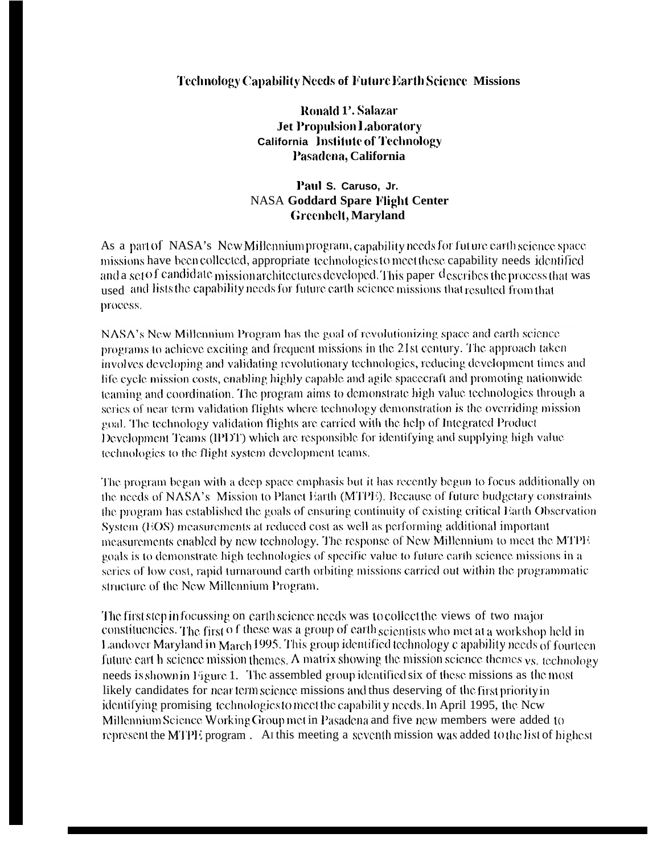## Technology Capability Needs of Future Earth Science Missions

Ronald 1'. Salazar **Jet Propulsion Laboratory California** Institute of Technology Pasadena, California

## Paul S. Caruso. Jr. **NASA Goddard Spare Flight Center Greenbelt**, Maryland

As a part of NASA's New Millennium program, capability needs for future earth science space missions have been collected, appropriate technologies to meet these capability needs identified and a set of candidate mission architectures developed. This paper describes the process that was used and lists the capability needs for future earth science missions that resulted from that process.

NASA's New Millennium Program has the goal of revolutionizing space and earth science programs to achieve exciting and frequent missions in the 21st century. The approach taken involves developing and validating revolutionary technologies, reducing development times and life cycle mission costs, enabling highly capable and agile spacecraft and promoting nationwide teaming and coordination. The program aims to demonstrate high value technologies through a series of near term validation flights where technology demonstration is the overriding mission goal. The technology validation flights are carried with the help of Integrated Product Development Teams (IPDT) which are responsible for identifying and supplying high value technologies to the flight system development teams.

The program began with a deep space emphasis but it has recently begun to focus additionally on the needs of NASA's Mission to Planet Earth (MTPE). Because of future budgetary constraints the program has established the goals of ensuring continuity of existing critical Earth Observation System (EOS) measurements at reduced cost as well as performing additional important measurements enabled by new technology. The response of New Millennium to meet the MTPE goals is to demonstrate high technologies of specific value to future carth science missions in a series of low cost, rapid turnaround earth orbiting missions carried out within the programmatic structure of the New Millennium Program.

The first step in focussing on earth science needs was to collect the views of two major constituencies. The first of these was a group of earth scientists who met at a workshop held in Landover Maryland in March 1995. This group identified technology c apability needs of fourteen future eart h science mission themes. A matrix showing the mission science themes  $\gamma s$ , technology needs is shown in Figure 1. The assembled group identified six of these missions as the most likely candidates for near term science missions and thus deserving of the first priority in identifying promising technologies to meet the capability needs. In April 1995, the New Millennium Science Working Group met in Pasadena and five new members were added to represent the MTPE program. At this meeting a seventh mission was added to the list of highest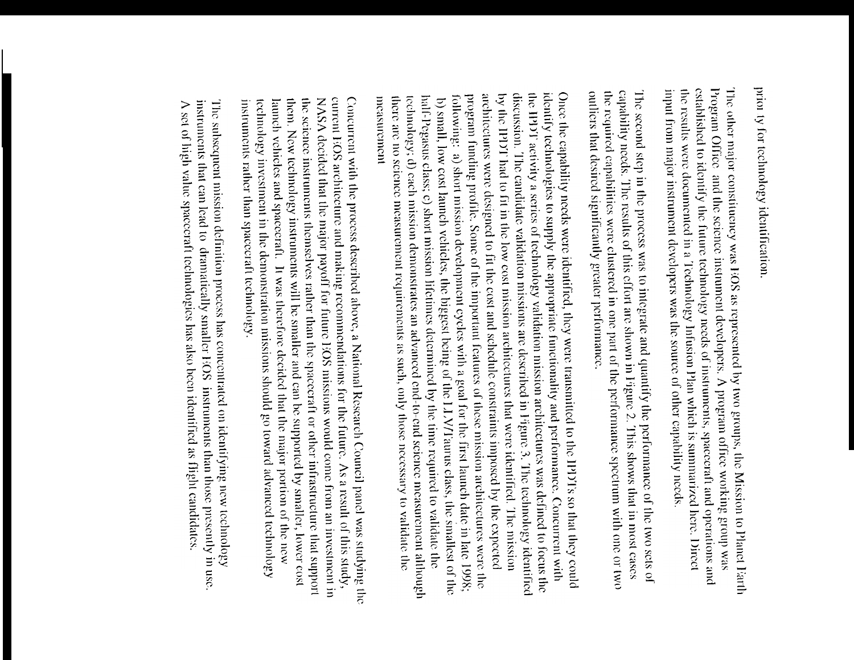prior ty for technology identification.

The other major constituency was EOS as represented by two groups, the Mission to Planet Earth established to identify the future technology needs of instruments, spacecraft and operations and Program Office and the seience instrument developers. A program office working group was input from major instrument developers was the source of other capability needs. the results were documented in a Technology Infusion Plan which is summarized here. Direct

capability needs. The results of this effort are shown in Figure 2. This shows that in most cases ouliers that desired significantly greater performance. the required capabilities were clustered in one part of the performance spectrum with one or two The second step in the process was to integrate and quantify the performance of the two sets of

the HPDT activity a scrics of technology validation mission architectures was defined to focus the Once the capability needs were identified, they were transmitted to the IPDTs so that they could program funding profile. Some of the important features of these mission architectures were the architectures were designed to fit the cost and schedule constraints imposed by the expected by the IPDT had to fit in the low cost mission architectures that were identified. The mission discussion. The candidate validation missions are described in Figure 3. The technology identified identify technologies to supply the appropriate functionality and performance. Concurrent with technology; d) cach mission demonstrates an advanced end-to-end science measurement although half-Pegasus class; c) short mission lifetimes determined by the time required to validate the following: a) short mission development eyeles with a goal for the first launch date in late 1998; there are no science measurement requirements as such, only those necessary to validate the measurement b) small, low cost launch vehicles, the biggest being of the LLV/Faurus class, the smallest of the

the science instruments themselves rather than the spacecraft or other infrastructure that support NASA decided that the major payoff for future EOS missions would come from an investment in current FiOS architecture and making recommendations for the future. As a result of this study, Concurrent with the process described above, a National Research Council panel was studying the technology investment in the demonstration missions should go toward advanced technology them. New technology instruments will be smaller and can be supported by smaller, lower cost instruments rather than spacecraft technology. launch vehicles and spacecraft. It was therefore decided that the major portion of the new

instruments that can lead to dramatically smaller EOS instruments than those presently in use. The subsequent mission definition process has concentrated on identifying new technology A set of high value spacecraft technologies has also been identified as flight candidates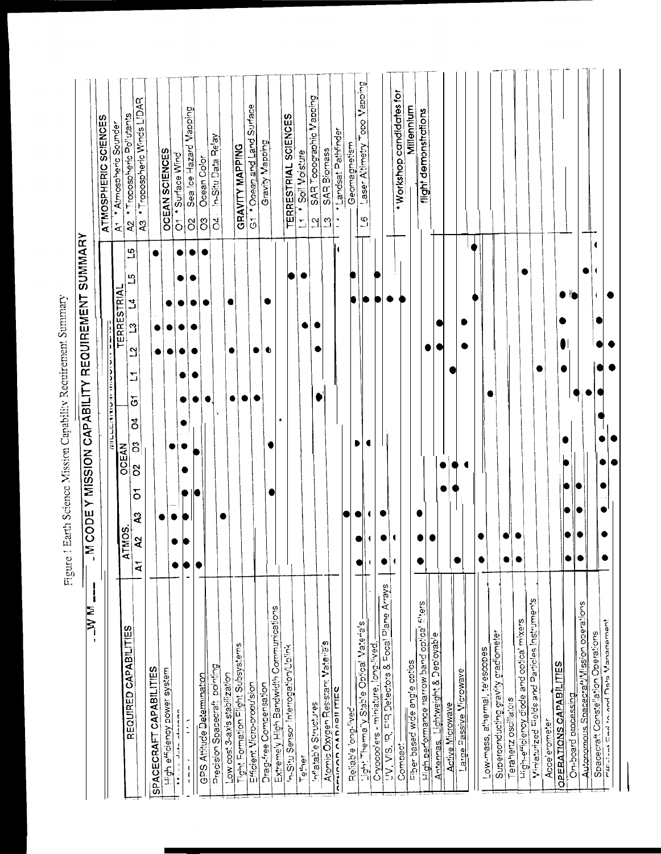| $\mathbf{l}$<br>IN NL                             | <b>M CODE Y MISSION CAPABILITY REQUIREMENT SUMMARY</b>                                                                                                                                   |                                                                              |
|---------------------------------------------------|------------------------------------------------------------------------------------------------------------------------------------------------------------------------------------------|------------------------------------------------------------------------------|
|                                                   |                                                                                                                                                                                          | ATMOSPHERIC SCIENCES                                                         |
|                                                   | <b>TERRESTRIAL</b><br>л<br><b>MITTER LATAR AND ARRAIGN</b><br><b>OCEAN</b><br><b>IMOS</b><br>হ                                                                                           | A1 <sup>+</sup> Atmospheric Sounger                                          |
| REQUIRED CAPABILITIES                             | $\mathfrak{a}$<br>5<br>$\mathbf{z}$<br>$\mathbf{c}$<br>$\mathbf{a}$<br>5<br>$\overline{c}$<br>$\rm{5}$<br>$\mathcal{S}$<br>$\delta$<br>$\overline{5}$<br>Q3<br>$\lambda$<br>$\mathbf{A}$ | * Tropospheric Winds LIDAR<br>A2 * Tropospheric Pollutants<br>$\overline{a}$ |
| SPACECRAFT CAPABILITIES                           | о                                                                                                                                                                                        |                                                                              |
| High efficiency power system                      |                                                                                                                                                                                          | <b>OCEAN SCIENCES</b>                                                        |
| こちょうきょう しゅうし<br>$\frac{1}{2}$                     |                                                                                                                                                                                          | O1 * Surface Wind                                                            |
| Í<br>$\frac{1}{4}$                                |                                                                                                                                                                                          | Sea loe Hazard Mapping<br>$\delta$                                           |
| GPS Atttude Determination                         |                                                                                                                                                                                          | Ocean Color<br>SO                                                            |
| Precision Spacecraft pointing                     |                                                                                                                                                                                          | In-Situ Data Relay<br>$\overline{C}$                                         |
| Low cost 3-axis stabilization                     | ۰                                                                                                                                                                                        |                                                                              |
| Tight Formation Flight Subsystems                 |                                                                                                                                                                                          | <b>GRAVITY MAPPING</b>                                                       |
| Efficient Vicro-propulsion                        |                                                                                                                                                                                          | * Ocean and Land Surface<br>$\overline{6}$                                   |
| Drag-free Compensation                            | Ф                                                                                                                                                                                        | Gravity Mapping                                                              |
| Extremely High Bandwidth Communications           |                                                                                                                                                                                          |                                                                              |
| <u>in-Situ Sensor Interrogation/Uplink</u>        |                                                                                                                                                                                          | <b>TERRESTRIAL SCIENCES</b>                                                  |
| Tether                                            |                                                                                                                                                                                          | * Soil Moisture<br>$\overline{\mathbb{Z}}$                                   |
| Inflatable Structures                             |                                                                                                                                                                                          | SAR Topographic Mapping<br>$\tilde{\Omega}$                                  |
| Atomic Oxygen Resistant Materia's                 |                                                                                                                                                                                          | <b>SAR Biomass</b><br>$\Omega$                                               |
| <b>HANDADADADITIES</b>                            | и                                                                                                                                                                                        | + Landsat Pathfinder<br>$\overline{\phantom{a}}$                             |
| Reliable ong-lived                                |                                                                                                                                                                                          | Geomagnetism                                                                 |
| Light Therma'y Stable Optical Vaterials           |                                                                                                                                                                                          | Laser <u>Altimetry Topo Mapping</u><br>$\overline{\mathcal{O}}$              |
| Cryocoo <sup>l</sup> ers - miniature, long-lived, | 4                                                                                                                                                                                        |                                                                              |
| UV, VIS, IR, FIR Detectors & Focal Plane Arrays   |                                                                                                                                                                                          |                                                                              |
| Compact                                           | 1                                                                                                                                                                                        | . Workshop candidates for                                                    |
| Fiber based wide angle optics                     |                                                                                                                                                                                          | Millennlum                                                                   |
| High performance narrow band optical filters      |                                                                                                                                                                                          | flight demonstrations                                                        |
| Lightweight & Deployable                          |                                                                                                                                                                                          |                                                                              |
| <b>Active Microwave</b><br>Antennas.              |                                                                                                                                                                                          |                                                                              |
| Large Passive Microwave                           | ٠                                                                                                                                                                                        |                                                                              |
|                                                   |                                                                                                                                                                                          |                                                                              |
| Low-mass, athermal, telescopes                    |                                                                                                                                                                                          |                                                                              |
| Superconducting gravity gradiometer               |                                                                                                                                                                                          |                                                                              |
| Terahertz oscillators                             |                                                                                                                                                                                          |                                                                              |
| Ligh-efficiency diode and optical mixers          |                                                                                                                                                                                          |                                                                              |
| Winiaturased Fields and Particles Instruments     |                                                                                                                                                                                          |                                                                              |
| Acce'erometer                                     |                                                                                                                                                                                          |                                                                              |
| OPERATIONS CAPABILITIES                           |                                                                                                                                                                                          |                                                                              |
| On-board processing                               | ٠                                                                                                                                                                                        |                                                                              |
| Autonomous Spacecrat/Vission operations           | ٠                                                                                                                                                                                        |                                                                              |
| Spacecraft Constellation Operations               |                                                                                                                                                                                          |                                                                              |
| בעוליית באן ליפט <sub>ו</sub> טפט האטריפט בער     |                                                                                                                                                                                          |                                                                              |

Figure 1 Earth Science Mission Capability Requirement Summary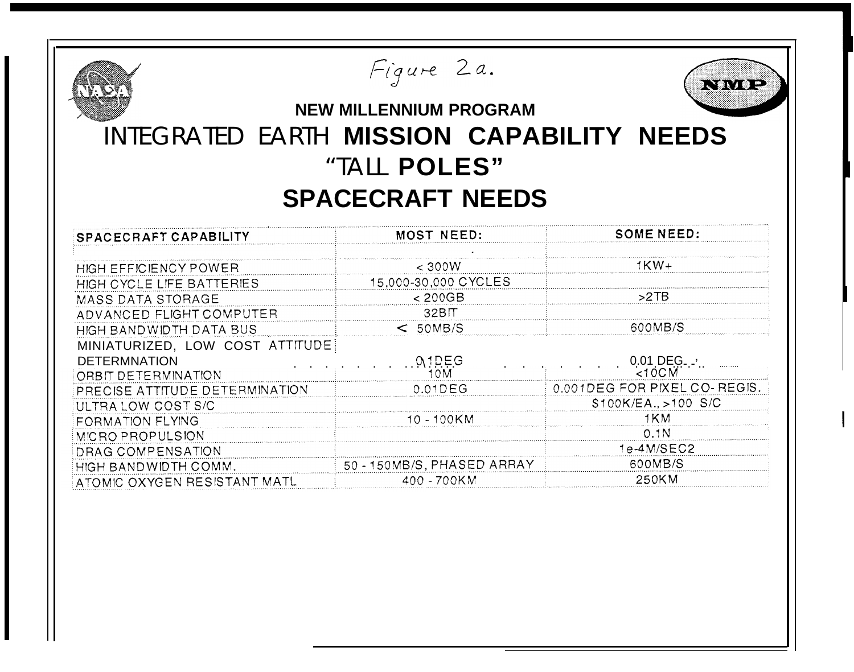| Figure 2a.<br>にいき にっぽん<br><b>NEW MILLENNIUM PROGRAM</b><br>INTEGRATED EARTH MISSION CAPABILITY NEEDS<br>"TALL POLES"<br><b>SPACECRAFT NEEDS</b> |                                  |                                  |  |  |
|-------------------------------------------------------------------------------------------------------------------------------------------------|----------------------------------|----------------------------------|--|--|
| SPACECRAFT CAPABILITY                                                                                                                           | <b>MOST NEED:</b>                | <b>SOME NEED:</b>                |  |  |
| HIGH EFFICIENCY POWER<br>HIGH CYCLE LIFE BATTERIES                                                                                              | $<$ 300W<br>15,000-30,000 CYCLES | $1KN+$                           |  |  |
| <b>MASS DATA STORAGE</b>                                                                                                                        | < 200GB<br>32BIT                 | >2TB                             |  |  |
| ADVANCED FLIGHT COMPUTER<br>HIGH BANDWIDTH DATA BUS                                                                                             | $<$ 50MB/S                       | 600MB/S                          |  |  |
| MINIATURIZED, LOW COST ATTITUDE<br><b>DETERMNATION</b>                                                                                          | $[0, 1]$ $E$ $G$                 | $0.01$ DEG. $\cdot$<br>$< 10$ CM |  |  |
| ORBIT DETERMINATION<br>PRECISE ATTITUDE DETERMINATION                                                                                           | 10M<br>$0.01$ DEG                | 0.001DEG FOR PIXEL CO-REGIS.     |  |  |
| ULTRA LOW COST S/C                                                                                                                              | 10 - 100KM                       | \$100K/EA., >100 S/C<br>1KM      |  |  |
| FORMATION FLYING<br>MICRO PROPULSION                                                                                                            |                                  | 0.1 <sub>N</sub>                 |  |  |
| DRAG COMPENSATION                                                                                                                               | 50 - 150MB/S, PHASED ARRAY       | $1e-4M/SEC2$<br>600MB/S          |  |  |
| HIGH BANDWIDTH COMM.<br>ATOMIC OXYGEN RESISTANT MATL                                                                                            | 400 - 700KM                      | 250KM                            |  |  |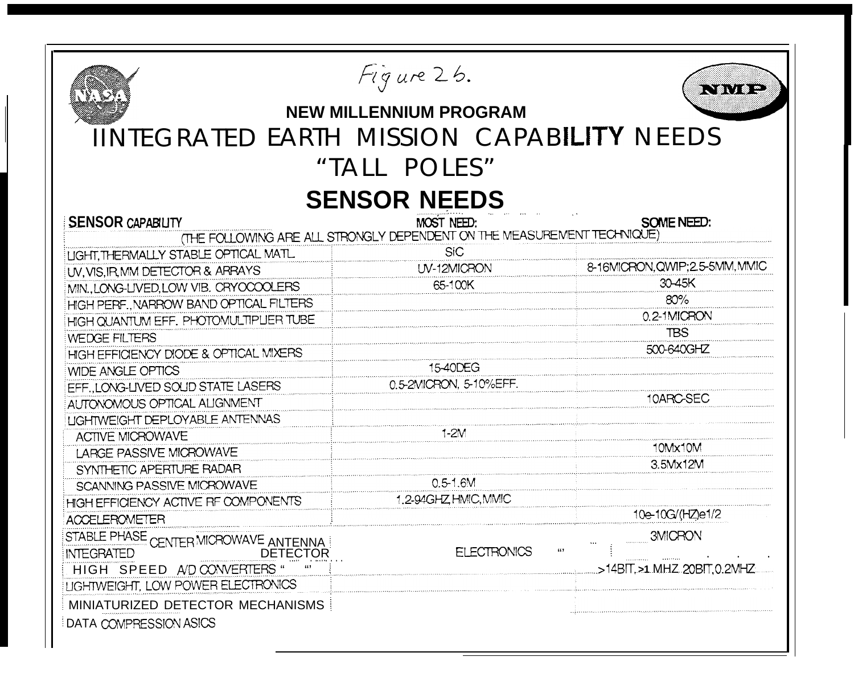| Figure 26.<br>.<br><b>NEW MILLENNIUM PROGRAM</b><br><b>IINTEGRATED EARTH MISSION CAPABILITY NEEDS</b><br>"TALL POLES" |                                                                         |                                 |  |  |  |
|-----------------------------------------------------------------------------------------------------------------------|-------------------------------------------------------------------------|---------------------------------|--|--|--|
| <b>SENSOR NEEDS</b>                                                                                                   |                                                                         |                                 |  |  |  |
| <b>SENSOR CAPABILITY</b>                                                                                              | MOST NEED:                                                              | SOME NEED:                      |  |  |  |
|                                                                                                                       | (THE FOLLOWING ARE ALL STRONGLY DEPENDENT ON THE MEASUREMENT TECHNIQUE) |                                 |  |  |  |
| <b>LIGHT, THERMALLY STABLE OPTICAL MATL</b>                                                                           | <b>SiC</b>                                                              |                                 |  |  |  |
| UV, VIS, IR, MM DETECTOR & ARRAYS                                                                                     | UV-12MICRON                                                             | 8-16MICRON, QWIP; 2.5-5MM, MMIC |  |  |  |
| MIN., LONG-LIVED, LOW VIB. CRYOCOOLERS                                                                                | 65-100K                                                                 | 30-45K                          |  |  |  |
| HIGH PERF., NARROW BAND OPTICAL FILTERS                                                                               |                                                                         | 80%                             |  |  |  |
| HIGH QUANTUM EFF. PHOTOMULTIPLIER TUBE                                                                                |                                                                         | 0.2-1MICRON                     |  |  |  |
| <b>WEDGE FILTERS</b>                                                                                                  |                                                                         | <b>TBS</b>                      |  |  |  |
| HIGH EFFICIENCY DIODE & OPTICAL MIXERS                                                                                |                                                                         | 500-640GHZ                      |  |  |  |
| <b>WIDE ANGLE OPTICS</b>                                                                                              | 15-40DEG                                                                |                                 |  |  |  |
| EFF., LONG-LIVED SOLID STATE LASERS                                                                                   | 0.5-2MICRON, 5-10%EFF.                                                  |                                 |  |  |  |
| AUTONOMOUS OPTICAL ALIGNMENT                                                                                          |                                                                         | 10ARC-SEC                       |  |  |  |
| <b>LIGHTWEIGHT DEPLOYABLE ANTENNAS</b>                                                                                |                                                                         |                                 |  |  |  |
| <b>ACTIVE MICROWAVE</b>                                                                                               | $1-2M$                                                                  |                                 |  |  |  |
| LARGE PASSIVE MICROWAVE                                                                                               |                                                                         | 10Mx10M                         |  |  |  |
| SYNTHETIC APERTURE RADAR                                                                                              |                                                                         | 3.5Mx12M                        |  |  |  |
| SCANNING PASSIVE MICROWAVE                                                                                            | $0.5 - 1.6M$                                                            |                                 |  |  |  |
| HIGH EFFICIENCY ACTIVE RF COMPONENTS                                                                                  | 1.2-94GHZ HMIC, MMIC                                                    |                                 |  |  |  |
| <b>ACCELEROMETER</b>                                                                                                  |                                                                         | 10e-10G/(HZ)e1/2                |  |  |  |
| STABLE PHASE CENTER MICROWAVE ANTENNA<br><b>INTEGRATED</b><br>DETECTOR                                                | 669<br><b>ELECTRONICS</b>                                               | 3MICRON                         |  |  |  |
| HIGH SPEED A/D CONVERTERS "                                                                                           |                                                                         | >14BIT.>1.MHZ.20BIT.0.2MHZ      |  |  |  |
| LIGHTWEIGHT, LOW POWER ELECTRONICS                                                                                    |                                                                         |                                 |  |  |  |
| MINIATURIZED DETECTOR MECHANISMS<br>DATA COMPRESSION ASICS                                                            |                                                                         |                                 |  |  |  |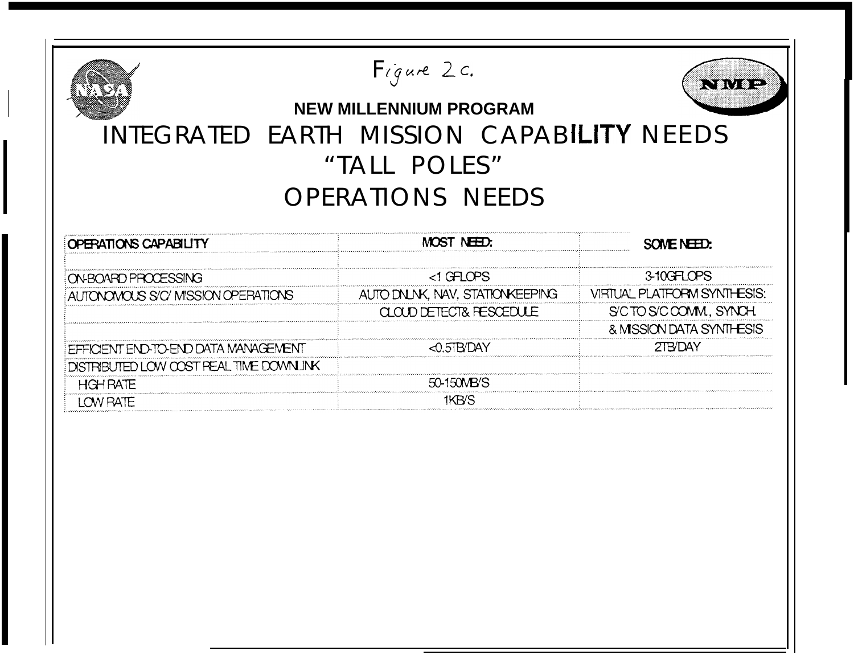| Figure 2c.<br>■ 、       第 、   第 ~<br><b>NEW MILLENNIUM PROGRAM</b><br>INTEGRATED EARTH MISSION CAPABILITY NEEDS<br>"TALL POLES"<br><b>OPERATIONS NEEDS</b> |                                                                                    |                                                                   |  |  |
|------------------------------------------------------------------------------------------------------------------------------------------------------------|------------------------------------------------------------------------------------|-------------------------------------------------------------------|--|--|
| OPERATIONS CAPABILITY                                                                                                                                      | MOST NEED:                                                                         | SOME NEED:                                                        |  |  |
| ON BOARD PROCESSING<br>AUTONOMOUS S/C/MISSION OPERATIONS                                                                                                   | <1 GFLOPS<br>AUTO DNLNK, NAV, STATIONKEEPING<br><b>CLOUD DETECT&amp; FESCEDULE</b> | 3-10GFLOPS<br>VIRTUAL PLATFORM SYNTHESIS:<br>S'CTO S'COOMM, SYNCH |  |  |
| EFFICIENT END-TO-END DATA MANAGEMENT<br>DISTRIBUTED LOW COST REAL TIME DOWNLINK                                                                            | $\triangle$ 0.5TB/DAY<br>50-150MB/S                                                | & MSSION DATA SYNTHESIS<br><b>2TB/DAY</b>                         |  |  |
| <b>HGH RATE</b><br><b>LOW RATE</b>                                                                                                                         | 1KB/S                                                                              |                                                                   |  |  |
|                                                                                                                                                            |                                                                                    |                                                                   |  |  |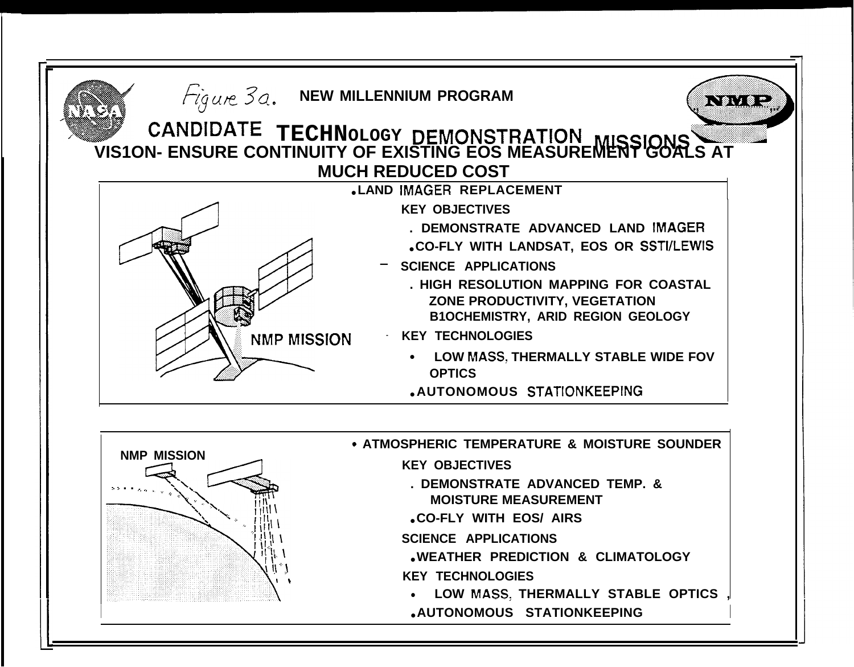

- **KEY TECHNOLOGIES**
- LOW MASS, THERMALLY STABLE OPTICS,
- .AUTONOMOUS STATIONKEEPING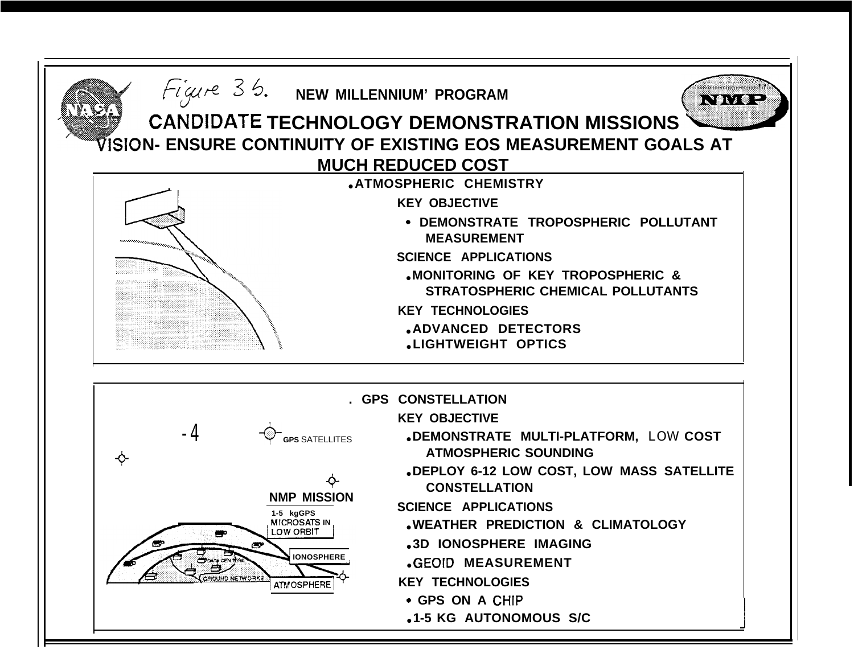